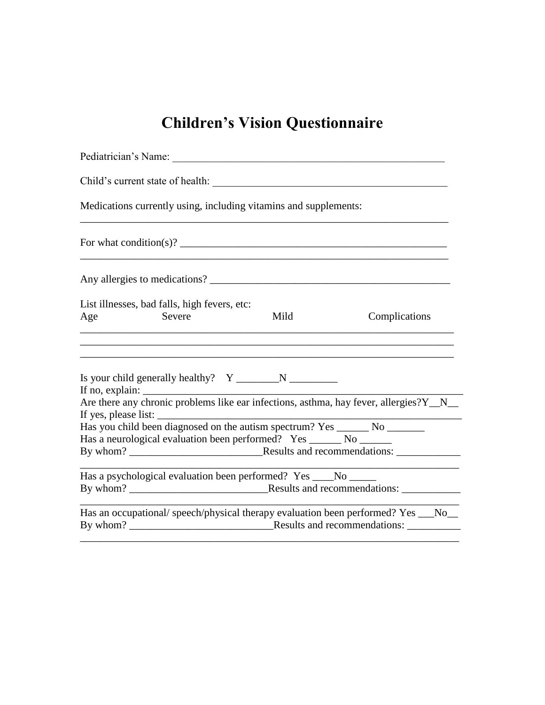# **Children's Vision Questionnaire**

| Medications currently using, including vitamins and supplements:                                                                                                     |
|----------------------------------------------------------------------------------------------------------------------------------------------------------------------|
|                                                                                                                                                                      |
|                                                                                                                                                                      |
| List illnesses, bad falls, high fevers, etc:<br>Severe<br>Mild<br>Complications<br>Age<br>the control of the control of the control of the control of the control of |
|                                                                                                                                                                      |
| If yes, please list:                                                                                                                                                 |
| Has you child been diagnosed on the autism spectrum? Yes _______ No ________<br>Has a neurological evaluation been performed? Yes _______ No _______                 |
| Has a psychological evaluation been performed? Yes ____No _____<br>By whom? Results and recommendations:                                                             |
| Has an occupational/speech/physical therapy evaluation been performed? Yes __No_                                                                                     |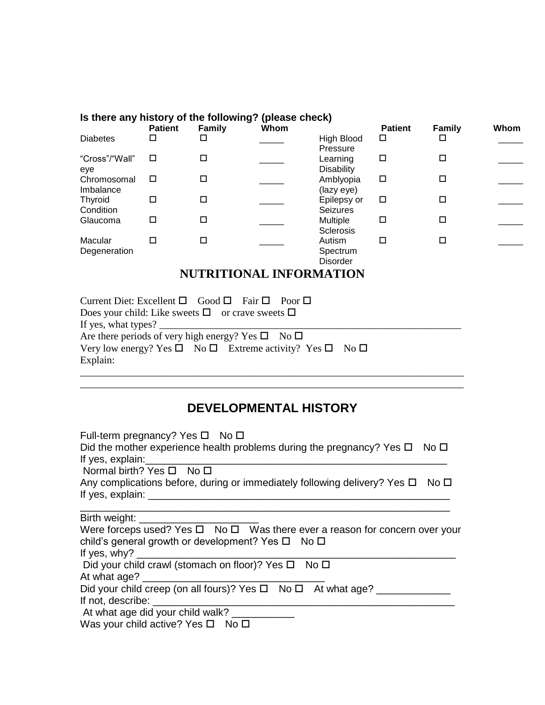| Is there any history of the following? (please check) |                |               |      |                                       |                |               |      |
|-------------------------------------------------------|----------------|---------------|------|---------------------------------------|----------------|---------------|------|
|                                                       | <b>Patient</b> | <b>Family</b> | Whom |                                       | <b>Patient</b> | <b>Family</b> | Whom |
| <b>Diabetes</b>                                       | ◻              | □             |      | High Blood<br>Pressure                | □              |               |      |
| "Cross"/"Wall"<br>eve                                 | □              | п             |      | Learning<br><b>Disability</b>         | □              | п             |      |
| Chromosomal<br>Imbalance                              | □              | п             |      | Amblyopia<br>(lazy eye)               | □              |               |      |
| Thyroid<br>Condition                                  | □              | □             |      | Epilepsy or<br><b>Seizures</b>        | □              | п             |      |
| Glaucoma                                              | □              | П             |      | <b>Multiple</b><br>Sclerosis          | □              |               |      |
| Macular<br>Degeneration                               | □              | П             |      | Autism<br>Spectrum<br><b>Disorder</b> | □              |               |      |

## **NUTRITIONAL INFORMATION**

| Current Diet: Excellent $\Box$ Good $\Box$ Fair $\Box$ Poor $\Box$                                                                                                                                                                                                                                                                                                                      |
|-----------------------------------------------------------------------------------------------------------------------------------------------------------------------------------------------------------------------------------------------------------------------------------------------------------------------------------------------------------------------------------------|
| Does your child: Like sweets $\square$ or crave sweets $\square$                                                                                                                                                                                                                                                                                                                        |
| If yes, what types? $\frac{1}{\sqrt{1-\frac{1}{2}}}\left\{ \frac{1}{2} + \frac{1}{2} + \frac{1}{2} + \frac{1}{2} + \frac{1}{2} + \frac{1}{2} + \frac{1}{2} + \frac{1}{2} + \frac{1}{2} + \frac{1}{2} + \frac{1}{2} + \frac{1}{2} + \frac{1}{2} + \frac{1}{2} + \frac{1}{2} + \frac{1}{2} + \frac{1}{2} + \frac{1}{2} + \frac{1}{2} + \frac{1}{2} + \frac{1}{2} + \frac{1}{2} + \frac{1$ |
| Are there periods of very high energy? Yes $\square$ No $\square$                                                                                                                                                                                                                                                                                                                       |
| Very low energy? Yes $\square$ No $\square$ Extreme activity? Yes $\square$ No $\square$                                                                                                                                                                                                                                                                                                |
| Explain:                                                                                                                                                                                                                                                                                                                                                                                |
|                                                                                                                                                                                                                                                                                                                                                                                         |

## **DEVELOPMENTAL HISTORY**

\_\_\_\_\_\_\_\_\_\_\_\_\_\_\_\_\_\_\_\_\_\_\_\_\_\_\_\_\_\_\_\_\_\_\_\_\_\_\_\_\_\_\_\_\_\_\_\_\_\_\_\_\_\_\_\_\_\_\_\_\_\_\_\_\_\_\_\_\_\_\_\_\_\_\_

| Full-term pregnancy? Yes $\square$ No $\square$<br>Did the mother experience health problems during the pregnancy? Yes $\Box$ No $\Box$<br>If yes, $explain:$              |  |
|----------------------------------------------------------------------------------------------------------------------------------------------------------------------------|--|
| Normal birth? Yes □ No □                                                                                                                                                   |  |
| Any complications before, during or immediately following delivery? Yes $\Box$<br>No <sub>D</sub><br>If yes, explain: $\_\_$                                               |  |
|                                                                                                                                                                            |  |
| Were forceps used? Yes $\square$ No $\square$ Was there ever a reason for concern over your<br>child's general growth or development? Yes $\Box$ No $\Box$<br>If yes, why? |  |
| Did your child crawl (stomach on floor)? Yes □ No □<br>At what age?                                                                                                        |  |
| Did your child creep (on all fours)? Yes □ No □ At what age? _____<br>If not, describe:                                                                                    |  |
| At what age did your child walk?                                                                                                                                           |  |

Was your child active? Yes  $\square$  No  $\square$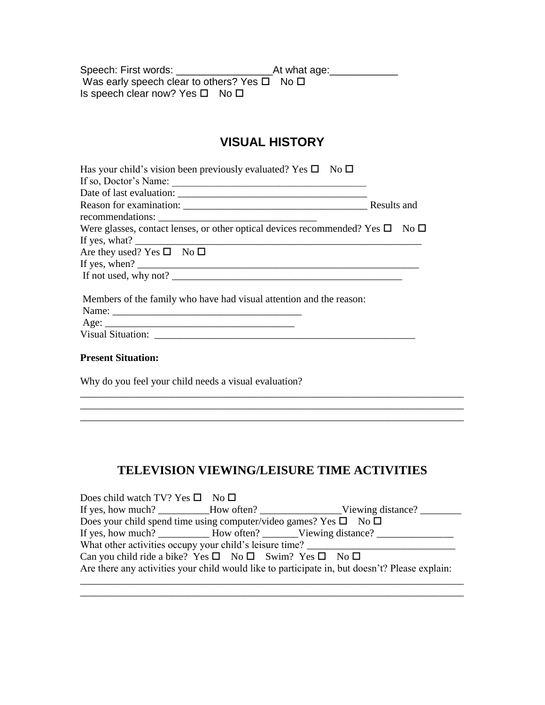Speech: First words: \_\_\_\_\_\_\_\_\_\_\_\_\_\_\_\_\_At what age:\_\_\_\_\_\_\_\_\_\_\_\_ Was early speech clear to others? Yes  $\square$  No  $\square$ Is speech clear now? Yes  $\Box$  No  $\Box$ 

## **VISUAL HISTORY**

| Has your child's vision been previously evaluated? Yes $\square$ No $\square$                                                                                                                                                                                                                                                                                                                           |             |
|---------------------------------------------------------------------------------------------------------------------------------------------------------------------------------------------------------------------------------------------------------------------------------------------------------------------------------------------------------------------------------------------------------|-------------|
| If so, Doctor's Name:                                                                                                                                                                                                                                                                                                                                                                                   |             |
|                                                                                                                                                                                                                                                                                                                                                                                                         |             |
| Reason for examination: <u>contract the contract of the set of the set of the set of the set of the set of the set of the set of the set of the set of the set of the set of the set of the set of the set of the set of the set</u>                                                                                                                                                                    | Results and |
| recommendations:                                                                                                                                                                                                                                                                                                                                                                                        |             |
| Were glasses, contact lenses, or other optical devices recommended? Yes $\square$ No $\square$                                                                                                                                                                                                                                                                                                          |             |
| If yes, what? $\qquad \qquad$                                                                                                                                                                                                                                                                                                                                                                           |             |
| Are they used? Yes $\square$ No $\square$                                                                                                                                                                                                                                                                                                                                                               |             |
| If yes, when? $\frac{1}{\sqrt{1-\frac{1}{2}}\sqrt{1-\frac{1}{2}}\sqrt{1-\frac{1}{2}}\sqrt{1-\frac{1}{2}}\sqrt{1-\frac{1}{2}}\sqrt{1-\frac{1}{2}}\sqrt{1-\frac{1}{2}}\sqrt{1-\frac{1}{2}}\sqrt{1-\frac{1}{2}}\sqrt{1-\frac{1}{2}}\sqrt{1-\frac{1}{2}}\sqrt{1-\frac{1}{2}}\sqrt{1-\frac{1}{2}}\sqrt{1-\frac{1}{2}}\sqrt{1-\frac{1}{2}}\sqrt{1-\frac{1}{2}}\sqrt{1-\frac{1}{2}}\sqrt{1-\frac{1}{2}}\sqrt{$ |             |
| If not used, why not?                                                                                                                                                                                                                                                                                                                                                                                   |             |
| Members of the family who have had visual attention and the reason:                                                                                                                                                                                                                                                                                                                                     |             |
|                                                                                                                                                                                                                                                                                                                                                                                                         |             |
|                                                                                                                                                                                                                                                                                                                                                                                                         |             |
|                                                                                                                                                                                                                                                                                                                                                                                                         |             |

#### **Present Situation:**

Why do you feel your child needs a visual evaluation?

## **TELEVISION VIEWING/LEISURE TIME ACTIVITIES**

 $\_$  ,  $\_$  ,  $\_$  ,  $\_$  ,  $\_$  ,  $\_$  ,  $\_$  ,  $\_$  ,  $\_$  ,  $\_$  ,  $\_$  ,  $\_$  ,  $\_$  ,  $\_$  ,  $\_$  ,  $\_$  ,  $\_$  ,  $\_$  ,  $\_$ 

\_\_\_\_\_\_\_\_\_\_\_\_\_\_\_\_\_\_\_\_\_\_\_\_\_\_\_\_\_\_\_\_\_\_\_\_\_\_\_\_\_\_\_\_\_\_\_\_\_\_\_\_\_\_\_\_\_\_\_\_\_\_\_\_\_\_\_\_\_\_\_\_\_\_\_

| Does child watch TV? Yes $\square$ No $\square$                                        |                                                                                                |
|----------------------------------------------------------------------------------------|------------------------------------------------------------------------------------------------|
|                                                                                        |                                                                                                |
|                                                                                        | Does your child spend time using computer/video games? Yes $\square$ No $\square$              |
|                                                                                        |                                                                                                |
|                                                                                        | What other activities occupy your child's leisure time? _________________________              |
| Can you child ride a bike? Yes $\square$ No $\square$ Swim? Yes $\square$ No $\square$ |                                                                                                |
|                                                                                        | Are there any activities your child would like to participate in, but doesn't? Please explain: |
|                                                                                        |                                                                                                |

\_\_\_\_\_\_\_\_\_\_\_\_\_\_\_\_\_\_\_\_\_\_\_\_\_\_\_\_\_\_\_\_\_\_\_\_\_\_\_\_\_\_\_\_\_\_\_\_\_\_\_\_\_\_\_\_\_\_\_\_\_\_\_\_\_\_\_\_\_\_\_\_\_\_\_